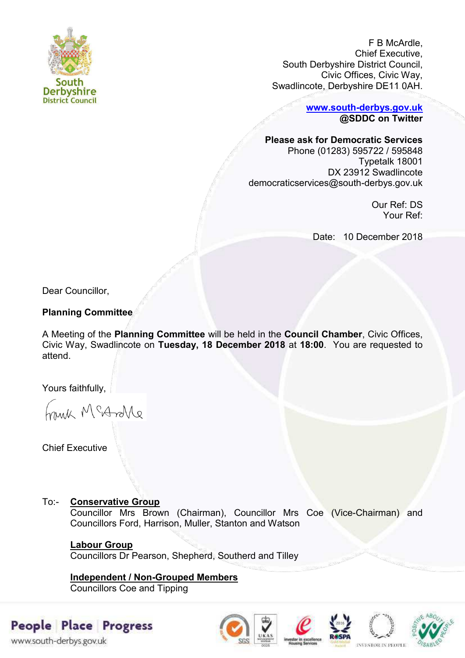

F B McArdle, Chief Executive, South Derbyshire District Council, Civic Offices, Civic Way, Swadlincote, Derbyshire DE11 0AH.

> **[www.south-derbys.gov.uk](http://www.south-derbys.gov.uk/) @SDDC on Twitter**

### **Please ask for Democratic Services**

Phone (01283) 595722 / 595848 Typetalk 18001 DX 23912 Swadlincote democraticservices@south-derbys.gov.uk

> Our Ref: DS Your Ref:

Date: 10 December 2018

Dear Councillor,

# **Planning Committee**

A Meeting of the **Planning Committee** will be held in the **Council Chamber**, Civic Offices, Civic Way, Swadlincote on **Tuesday, 18 December 2018** at **18:00**. You are requested to attend.

Yours faithfully,

brisk McAndre

Chief Executive

## To:- **Conservative Group**

Councillor Mrs Brown (Chairman), Councillor Mrs Coe (Vice-Chairman) and Councillors Ford, Harrison, Muller, Stanton and Watson

## **Labour Group**

Councillors Dr Pearson, Shepherd, Southerd and Tilley

# **Independent / Non-Grouped Members**

Councillors Coe and Tipping

# People Place Progress

www.south-derbys.gov.uk